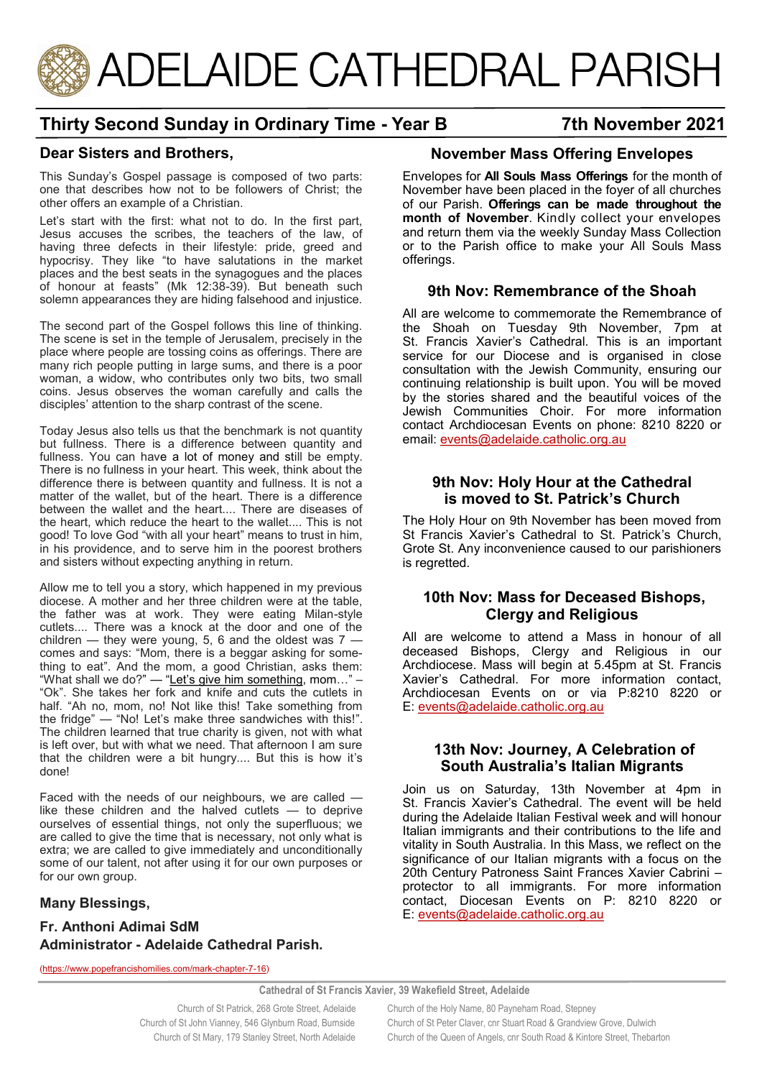

# **Thirty Second Sunday in Ordinary Time - Year B 7th November 2021**

## **Dear Sisters and Brothers,**

This Sunday's Gospel passage is composed of two parts: one that describes how not to be followers of Christ; the other offers an example of a Christian.

Let's start with the first: what not to do. In the first part, Jesus accuses the scribes, the teachers of the law, of having three defects in their lifestyle: pride, greed and hypocrisy. They like "to have salutations in the market places and the best seats in the synagogues and the places of honour at feasts" (Mk 12:38-39). But beneath such solemn appearances they are hiding falsehood and injustice.

The second part of the Gospel follows this line of thinking. The scene is set in the temple of Jerusalem, precisely in the place where people are tossing coins as offerings. There are many rich people putting in large sums, and there is a poor woman, a widow, who contributes only two bits, two small coins. Jesus observes the woman carefully and calls the disciples' attention to the sharp contrast of the scene.

Today Jesus also tells us that the benchmark is not quantity but fullness. There is a difference between quantity and fullness. You can have a lot of money and still be empty. There is no fullness in your heart. This week, think about the difference there is between quantity and fullness. It is not a matter of the wallet, but of the heart. There is a difference between the wallet and the heart.... There are diseases of the heart, which reduce the heart to the wallet.... This is not good! To love God "with all your heart" means to trust in him, in his providence, and to serve him in the poorest brothers and sisters without expecting anything in return.

Allow me to tell you a story, which happened in my previous diocese. A mother and her three children were at the table, the father was at work. They were eating Milan-style cutlets.... There was a knock at the door and one of the children  $-$  they were young, 5, 6 and the oldest was  $7$ comes and says: "Mom, there is a beggar asking for something to eat". And the mom, a good Christian, asks them: "What shall we do?" — "[Let's give him something,](http://www.google.com/url?q=http%3A%2F%2Fwww.popefrancishomilies.com%2Fgive-freely&sa=D&sntz=1&usg=AFQjCNFy1qb_2_doHWUp__prrJEtjR_uZg) mom…" – "Ok". She takes her fork and knife and cuts the cutlets in half. "Ah no, mom, no! Not like this! Take something from the fridge" — "No! Let's make three sandwiches with this!". The children learned that true charity is given, not with what is left over, but with what we need. That afternoon I am sure that the children were a bit hungry.... But this is how it's done!

Faced with the needs of our neighbours, we are called like these children and the halved cutlets  $-$  to deprive ourselves of essential things, not only the superfluous; we are called to give the time that is necessary, not only what is extra; we are called to give immediately and unconditionally some of our talent, not after using it for our own purposes or for our own group.

### **Many Blessings,**

### **Fr. Anthoni Adimai SdM Administrator - Adelaide Cathedral Parish.**

[\(https://www.popefrancishomilies.com/mark](https://www.popefrancishomilies.com/mark-chapter-7-16)-chapter-7-16)

# **November Mass Offering Envelopes**

Envelopes for **All Souls Mass Offerings** for the month of November have been placed in the foyer of all churches of our Parish. **Offerings can be made throughout the month of November**. Kindly collect your envelopes and return them via the weekly Sunday Mass Collection or to the Parish office to make your All Souls Mass offerings.

### **9th Nov: Remembrance of the Shoah**

All are welcome to commemorate the Remembrance of the Shoah on Tuesday 9th November, 7pm at St. Francis Xavier's Cathedral. This is an important service for our Diocese and is organised in close consultation with the Jewish Community, ensuring our continuing relationship is built upon. You will be moved by the stories shared and the beautiful voices of the Jewish Communities Choir. For more information contact Archdiocesan Events on phone: 8210 8220 or email: [events@adelaide.catholic.org.au](mailto:events@adelaide.catholic.org.au)

#### **9th Nov: Holy Hour at the Cathedral is moved to St. Patrick's Church**

The Holy Hour on 9th November has been moved from St Francis Xavier's Cathedral to St. Patrick's Church, Grote St. Any inconvenience caused to our parishioners is regretted.

### **10th Nov: Mass for Deceased Bishops, Clergy and Religious**

All are welcome to attend a Mass in honour of all deceased Bishops, Clergy and Religious in our Archdiocese. Mass will begin at 5.45pm at St. Francis Xavier's Cathedral. For more information contact, Archdiocesan Events on or via P:8210 8220 or E: [events@adelaide.catholic.org.au](mailto:events@adelaide.catholic.org.au)

### **13th Nov: Journey, A Celebration of South Australia's Italian Migrants**

Join us on Saturday, 13th November at 4pm in St. Francis Xavier's Cathedral. The event will be held during the Adelaide Italian Festival week and will honour Italian immigrants and their contributions to the life and vitality in South Australia. In this Mass, we reflect on the significance of our Italian migrants with a focus on the 20th Century Patroness Saint Frances Xavier Cabrini – protector to all immigrants. For more information contact, Diocesan Events on P: 8210 8220 or E: [events@adelaide.catholic.org.au](mailto:events@adelaide.catholic.org.au)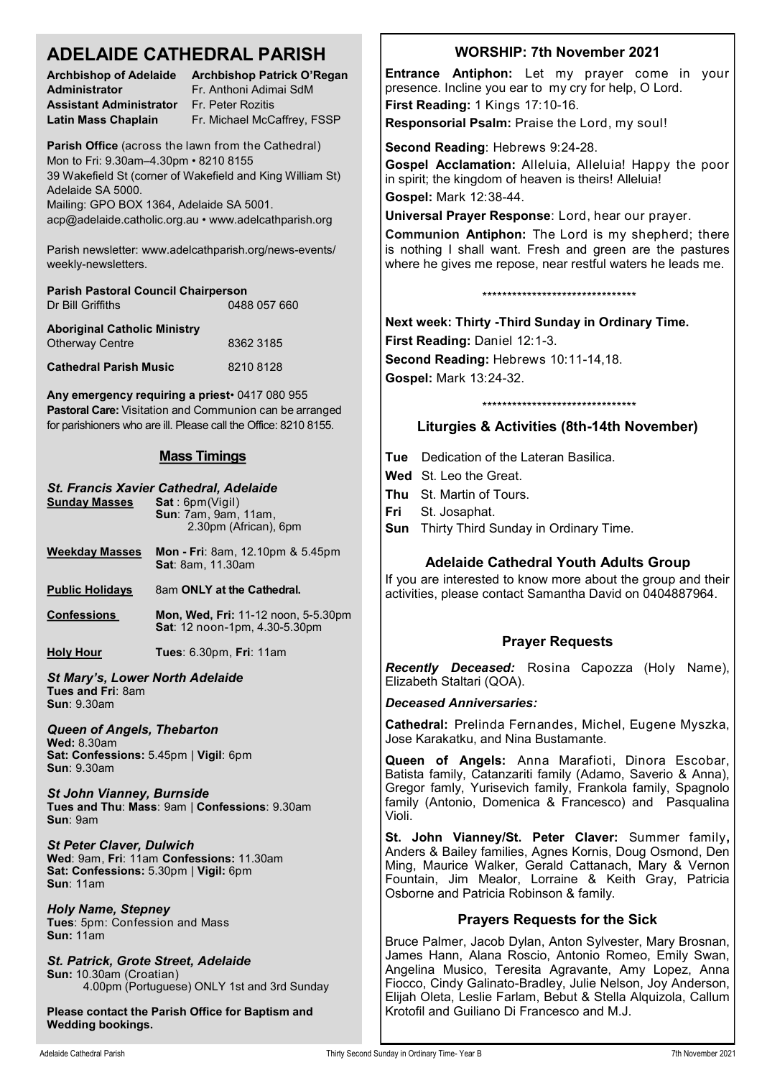## **ADELAIDE CATHEDRAL PARISH**

| <b>Archbishop of Adelaide</b>  |
|--------------------------------|
| Administrator                  |
| <b>Assistant Administrator</b> |
| Latin Mass Chaplain            |

**Archbishop Patrick O'Regan Administrator** Fr. Anthoni Adimai SdM **Assistant Administrator** Fr. Peter Rozitis **Latin Mass Chaplain** Fr. Michael McCaffrey, FSSP

**Parish Office** (across the lawn from the Cathedral) Mon to Fri: 9.30am–4.30pm • 8210 8155 39 Wakefield St (corner of Wakefield and King William St) Adelaide SA 5000.

Mailing: GPO BOX 1364, Adelaide SA 5001. acp@adelaide.catholic.org.au • www.adelcathparish.org

Parish newsletter: www.adelcathparish.org/news-events/ weekly-newsletters.

| <b>Parish Pastoral Council Chairperson</b> |  |  |
|--------------------------------------------|--|--|
| 0488 057 660                               |  |  |
| <b>Aboriginal Catholic Ministry</b>        |  |  |
| 8362 3185                                  |  |  |
|                                            |  |  |

**Cathedral Parish Music** 8210 8128

**Any emergency requiring a priest**• 0417 080 955 **Pastoral Care:** Visitation and Communion can be arranged for parishioners who are ill. Please call the Office: 8210 8155.

## **Mass Timings**

| <b>Sunday Masses</b>                                                                                                                     | St. Francis Xavier Cathedral, Adelaide<br>Sat: 6pm(Vigil)<br><b>Sun: 7am, 9am, 11am,</b><br>2.30pm (African), 6pm |  |
|------------------------------------------------------------------------------------------------------------------------------------------|-------------------------------------------------------------------------------------------------------------------|--|
| <b>Weekday Masses</b>                                                                                                                    | <b>Mon - Fri</b> : 8am, 12.10pm & 5.45pm<br>Sat: 8am, 11.30am                                                     |  |
| <b>Public Holidays</b>                                                                                                                   | 8am ONLY at the Cathedral.                                                                                        |  |
| <b>Confessions</b>                                                                                                                       | <b>Mon, Wed, Fri: 11-12 noon, 5-5.30pm</b><br>Sat: 12 noon-1pm, 4.30-5.30pm                                       |  |
| <b>Holy Hour</b>                                                                                                                         | <b>Tues: 6.30pm, Fri: 11am</b>                                                                                    |  |
| <b>St Mary's, Lower North Adelaide</b><br>Tues and Fri: 8am<br><b>Sun: 9.30am</b>                                                        |                                                                                                                   |  |
| Queen of Angels, Thebarton<br><b>Wed: 8.30am</b><br>Sat: Confessions: 5.45pm   Vigil: 6pm<br>Sun: 9.30am                                 |                                                                                                                   |  |
| <b>St John Vianney, Burnside</b><br>Tues and Thu: Mass: 9am   Confessions: 9.30am<br>Sun: 9am                                            |                                                                                                                   |  |
| <b>St Peter Claver, Dulwich</b><br>Wed: 9am, Fri: 11am Confessions: 11.30am<br>Sat: Confessions: 5.30pm   Vigil: 6pm<br><b>Sun: 11am</b> |                                                                                                                   |  |
| <b>Holy Name, Stepney</b><br>Tues: 5pm: Confession and Mass<br><b>Sun: 11am</b>                                                          |                                                                                                                   |  |

*St. Patrick, Grote Street, Adelaide* **Sun:** 10.30am (Croatian) 4.00pm (Portuguese) ONLY 1st and 3rd Sunday

**Please contact the Parish Office for Baptism and Wedding bookings.**

## **WORSHIP: 7th November 2021**

**Entrance Antiphon:** Let my prayer come in your presence. Incline you ear to my cry for help, O Lord. **First Reading:** 1 Kings 17:10-16.

**Responsorial Psalm:** Praise the Lord, my soul!

**Second Reading**: Hebrews 9:24-28.

**Gospel Acclamation:** Alleluia, Alleluia! Happy the poor in spirit; the kingdom of heaven is theirs! Alleluia! **Gospel:** Mark 12:38-44.

**Universal Prayer Response**: Lord, hear our prayer.

**Communion Antiphon:** The Lord is my shepherd; there is nothing I shall want. Fresh and green are the pastures where he gives me repose, near restful waters he leads me.

\*\*\*\*\*\*\*\*\*\*\*\*\*\*\*\*\*\*\*\*\*\*\*\*\*\*\*\*\*\*\*

**Next week: Thirty -Third Sunday in Ordinary Time. First Reading:** Daniel 12:1-3. **Second Reading:** Hebrews 10:11-14,18. **Gospel:** Mark 13:24-32.

\*\*\*\*\*\*\*\*\*\*\*\*\*\*\*\*\*\*\*\*\*\*\*\*\*\*\*\*\*\*\*

## **Liturgies & Activities (8th-14th November)**

**Tue** Dedication of the Lateran Basilica.

- **Wed** St. Leo the Great.
- **Thu** St. Martin of Tours.
- **Fri** St. Josaphat.
- **Sun** Thirty Third Sunday in Ordinary Time.

## **Adelaide Cathedral Youth Adults Group**

If you are interested to know more about the group and their activities, please contact Samantha David on 0404887964.

## **Prayer Requests**

*Recently Deceased:* Rosina Capozza (Holy Name), Elizabeth Staltari (QOA).

#### *Deceased Anniversaries:*

**Cathedral:** Prelinda Fernandes, Michel, Eugene Myszka, Jose Karakatku, and Nina Bustamante.

**Queen of Angels:** Anna Marafioti, Dinora Escobar, Batista family, Catanzariti family (Adamo, Saverio & Anna), Gregor famly, Yurisevich family, Frankola family, Spagnolo family (Antonio, Domenica & Francesco) and Pasqualina Violi.

**St. John Vianney/St. Peter Claver:** Summer family**,**  Anders & Bailey families, Agnes Kornis, Doug Osmond, Den Ming, Maurice Walker, Gerald Cattanach, Mary & Vernon Fountain, Jim Mealor, Lorraine & Keith Gray, Patricia Osborne and Patricia Robinson & family.

### **Prayers Requests for the Sick**

Bruce Palmer, Jacob Dylan, Anton Sylvester, Mary Brosnan, James Hann, Alana Roscio, Antonio Romeo, Emily Swan, Angelina Musico, Teresita Agravante, Amy Lopez, Anna Fiocco, Cindy Galinato-Bradley, Julie Nelson, Joy Anderson, Elijah Oleta, Leslie Farlam, Bebut & Stella Alquizola, Callum Krotofil and Guiliano Di Francesco and M.J.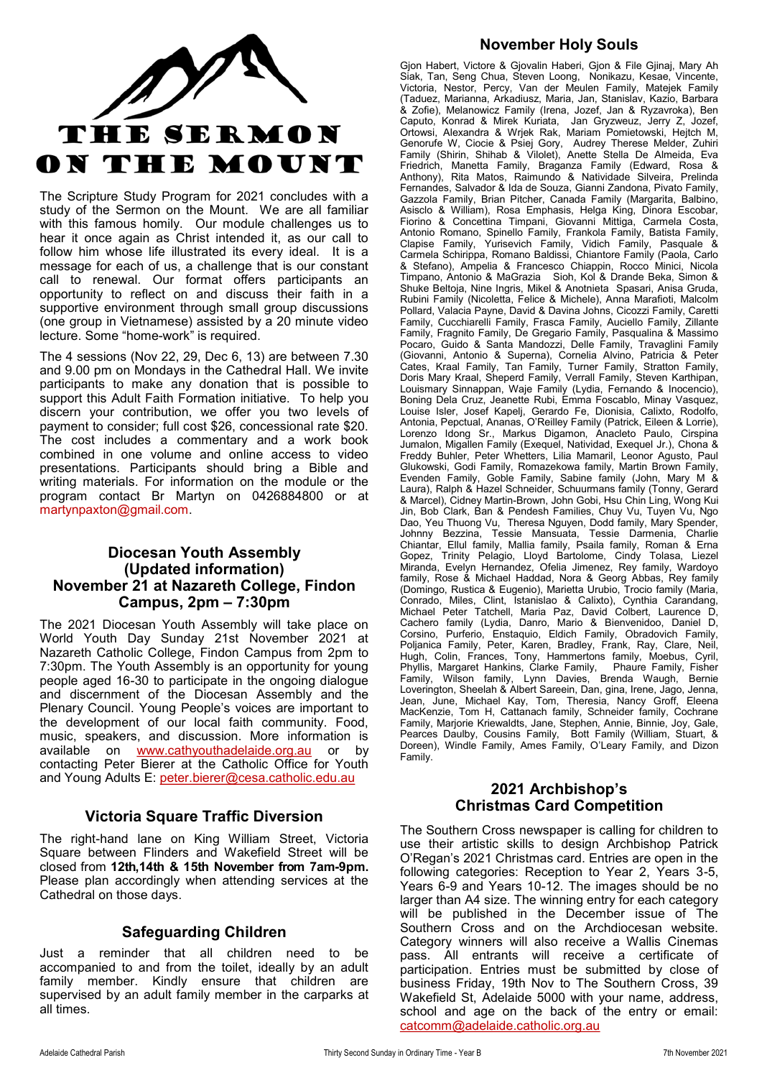

The Scripture Study Program for 2021 concludes with a study of the Sermon on the Mount. We are all familiar with this famous homily. Our module challenges us to hear it once again as Christ intended it, as our call to follow him whose life illustrated its every ideal. It is a message for each of us, a challenge that is our constant call to renewal. Our format offers participants an opportunity to reflect on and discuss their faith in a supportive environment through small group discussions (one group in Vietnamese) assisted by a 20 minute video lecture. Some "home-work" is required.

The 4 sessions (Nov 22, 29, Dec 6, 13) are between 7.30 and 9.00 pm on Mondays in the Cathedral Hall. We invite participants to make any donation that is possible to support this Adult Faith Formation initiative. To help you discern your contribution, we offer you two levels of payment to consider; full cost \$26, concessional rate \$20. The cost includes a commentary and a work book combined in one volume and online access to video presentations. Participants should bring a Bible and writing materials. For information on the module or the program contact Br Martyn on 0426884800 or at martynpaxton@gmail.com.

### **Diocesan Youth Assembly (Updated information) November 21 at Nazareth College, Findon Campus, 2pm – 7:30pm**

The 2021 Diocesan Youth Assembly will take place on World Youth Day Sunday 21st November 2021 at Nazareth Catholic College, Findon Campus from 2pm to 7:30pm. The Youth Assembly is an opportunity for young people aged 16-30 to participate in the ongoing dialogue and discernment of the Diocesan Assembly and the Plenary Council. Young People's voices are important to the development of our local faith community. Food, music, speakers, and discussion. More information is available on [www.cathyouthadelaide.org.au](https://aus01.safelinks.protection.outlook.com/?url=http%3A%2F%2Fwww.cathyouthadelaide.org.au%2F&data=04%7C01%7CCco-Reception%40adelaide.catholic.org.au%7C10c53ecca14c4cd44d4c08d99cce812e%7Cfe51d108d61d407cbcaaaab5af82a7ac%7C1%7C0%7C637713233026161457%7CUnkno) or by contacting Peter Bierer at the Catholic Office for Youth and Young Adults E: [peter.bierer@cesa.catholic.edu.au](mailto:peter.bierer@cesa.catholic.edu.au)

## **Victoria Square Traffic Diversion**

The right-hand lane on King William Street, Victoria Square between Flinders and Wakefield Street will be closed from **12th,14th & 15th November from 7am-9pm.**  Please plan accordingly when attending services at the Cathedral on those days.

## **Safeguarding Children**

Just a reminder that all children need to be accompanied to and from the toilet, ideally by an adult family member. Kindly ensure that children are supervised by an adult family member in the carparks at all times.

## **November Holy Souls**

Gjon Habert, Victore & Gjovalin Haberi, Gjon & File Gjinaj, Mary Ah Siak, Tan, Seng Chua, Steven Loong, Nonikazu, Kesae, Vincente, Victoria, Nestor, Percy, Van der Meulen Family, Matejek Family (Taduez, Marianna, Arkadiusz, Maria, Jan, Stanislav, Kazio, Barbara & Zofie), Melanowicz Family (Irena, Jozef, Jan & Ryzavroka), Ben Caputo, Konrad & Mirek Kuriata, Jan Gryzweuz, Jerry Z, Jozef, Ortowsi, Alexandra & Wrjek Rak, Mariam Pomietowski, Hejtch M, Genorufe W, Ciocie & Psiej Gory, Audrey Therese Melder, Zuhiri Family (Shirin, Shihab & Vilolet), Anette Stella De Almeida, Eva Friedrich, Manetta Family, Braganza Family (Edward, Rosa & Anthony), Rita Matos, Raimundo & Natividade Silveira, Prelinda Fernandes, Salvador & Ida de Souza, Gianni Zandona, Pivato Family, Gazzola Family, Brian Pitcher, Canada Family (Margarita, Balbino, Asisclo & William), Rosa Emphasis, Helga King, Dinora Escobar, Fiorino & Concettina Timpani, Giovanni Mittiga, Carmela Costa, Antonio Romano, Spinello Family, Frankola Family, Batista Family, Clapise Family, Yurisevich Family, Vidich Family, Pasquale & Carmela Schirippa, Romano Baldissi, Chiantore Family (Paola, Carlo & Stefano), Ampelia & Francesco Chiappin, Rocco Minici, Nicola Timpano, Antonio & MaGrazia Sioh, Kol & Drande Beka, Simon & Shuke Beltoja, Nine Ingris, Mikel & Anotnieta Spasari, Anisa Gruda, Rubini Family (Nicoletta, Felice & Michele), Anna Marafioti, Malcolm Pollard, Valacia Payne, David & Davina Johns, Cicozzi Family, Caretti Family, Cucchiarelli Family, Frasca Family, Auciello Family, Zillante Family, Fragnito Family, De Gregario Family, Pasqualina & Massimo Pocaro, Guido & Santa Mandozzi, Delle Family, Travaglini Family (Giovanni, Antonio & Superna), Cornelia Alvino, Patricia & Peter Cates, Kraal Family, Tan Family, Turner Family, Stratton Family, Doris Mary Kraal, Sheperd Family, Verrall Family, Steven Karthipan, Louismary Sinnappan, Waje Family (Lydia, Fernando & Inocencio), Boning Dela Cruz, Jeanette Rubi, Emma Foscablo, Minay Vasquez, Louise Isler, Josef Kapelj, Gerardo Fe, Dionisia, Calixto, Rodolfo, Antonia, Pepctual, Ananas, O'Reilley Family (Patrick, Eileen & Lorrie), Lorenzo Idong Sr., Markus Digamon, Anacleto Paulo, Cirspina Jumalon, Migallen Family (Exequel, Natividad, Exequel Jr.), Chona & Freddy Buhler, Peter Whetters, Lilia Mamaril, Leonor Agusto, Paul Glukowski, Godi Family, Romazekowa family, Martin Brown Family, Evenden Family, Goble Family, Sabine family (John, Mary M & Laura), Ralph & Hazel Schneider, Schuurmans family (Tonny, Gerard & Marcel), Cidney Martin-Brown, John Gobi, Hsu Chin Ling, Wong Kui Jin, Bob Clark, Ban & Pendesh Families, Chuy Vu, Tuyen Vu, Ngo Dao, Yeu Thuong Vu, Theresa Nguyen, Dodd family, Mary Spender, Johnny Bezzina, Tessie Mansuata, Tessie Darmenia, Charlie Chiantar, Ellul family, Mallia family, Psaila family, Roman & Erna Gopez, Trinity Pelagio, Lloyd Bartolome, Cindy Tolasa, Liezel Miranda, Evelyn Hernandez, Ofelia Jimenez, Rey family, Wardoyo family, Rose & Michael Haddad, Nora & Georg Abbas, Rey family (Domingo, Rustica & Eugenio), Marietta Urubio, Trocio family (Maria, Conrado, Miles, Clint, Istanislao & Calixto), Cynthia Carandang, Michael Peter Tatchell, Maria Paz, David Colbert, Laurence D, Cachero family (Lydia, Danro, Mario & Bienvenidoo, Daniel D, Corsino, Purferio, Enstaquio, Eldich Family, Obradovich Family, Poljanica Family, Peter, Karen, Bradley, Frank, Ray, Clare, Neil, Hugh, Colin, Frances, Tony, Hammertons family, Moebus, Cyril, Phyllis, Margaret Hankins, Clarke Family, Phaure Family, Fisher Family, Wilson family, Lynn Davies, Brenda Waugh, Bernie Loverington, Sheelah & Albert Sareein, Dan, gina, Irene, Jago, Jenna, Jean, June, Michael Kay, Tom, Theresia, Nancy Groff, Eleena MacKenzie, Tom H, Cattanach family, Schneider family, Cochrane Family, Marjorie Kriewaldts, Jane, Stephen, Annie, Binnie, Joy, Gale, Pearces Daulby, Cousins Family, Bott Family (William, Stuart, & Doreen), Windle Family, Ames Family, O'Leary Family, and Dizon Family.

#### **2021 Archbishop's Christmas Card Competition**

The Southern Cross newspaper is calling for children to use their artistic skills to design Archbishop Patrick O'Regan's 2021 Christmas card. Entries are open in the following categories: Reception to Year 2, Years 3-5, Years 6-9 and Years 10-12. The images should be no larger than A4 size. The winning entry for each category will be published in the December issue of The Southern Cross and on the Archdiocesan website. Category winners will also receive a Wallis Cinemas pass. All entrants will receive a certificate of participation. Entries must be submitted by close of business Friday, 19th Nov to The Southern Cross, 39 Wakefield St, Adelaide 5000 with your name, address, school and age on the back of the entry or email[:](mailto:email%20cathcomm@adelaide.catholic.org.au)  [catcomm@adelaide.catholic.org.au](mailto:email%20cathcomm@adelaide.catholic.org.au)